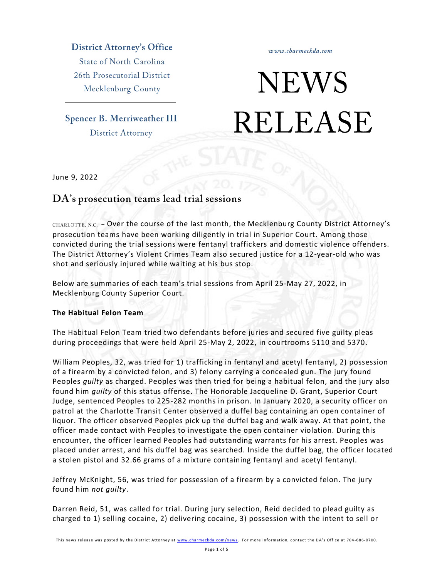**District Attorney's Office** 

**State of North Carolina** 26th Prosecutorial District Mecklenburg County

**Spencer B. Merriweather III District Attorney** 

www.charmeckda.com

# **NEWS RELEASE**

June 9, 2022

# DA's prosecution teams lead trial sessions

CHARLOTTE, N.C. - Over the course of the last month, the Mecklenburg County District Attorney's prosecution teams have been working diligently in trial in Superior Court. Among those convicted during the trial sessions were fentanyl traffickers and domestic violence offenders. The District Attorney's Violent Crimes Team also secured justice for a 12-year-old who was shot and seriously injured while waiting at his bus stop.

Below are summaries of each team's trial sessions from April 25-May 27, 2022, in Mecklenburg County Superior Court.

## **The Habitual Felon Team**

The Habitual Felon Team tried two defendants before juries and secured five guilty pleas during proceedings that were held April 25-May 2, 2022, in courtrooms 5110 and 5370.

William Peoples, 32, was tried for 1) trafficking in fentanyl and acetyl fentanyl, 2) possession of a firearm by a convicted felon, and 3) felony carrying a concealed gun. The jury found Peoples *guilty* as charged. Peoples was then tried for being a habitual felon, and the jury also found him *guilty* of this status offense. The Honorable Jacqueline D. Grant, Superior Court Judge, sentenced Peoples to 225-282 months in prison. In January 2020, a security officer on patrol at the Charlotte Transit Center observed a duffel bag containing an open container of liquor. The officer observed Peoples pick up the duffel bag and walk away. At that point, the officer made contact with Peoples to investigate the open container violation. During this encounter, the officer learned Peoples had outstanding warrants for his arrest. Peoples was placed under arrest, and his duffel bag was searched. Inside the duffel bag, the officer located a stolen pistol and 32.66 grams of a mixture containing fentanyl and acetyl fentanyl.

Jeffrey McKnight, 56, was tried for possession of a firearm by a convicted felon. The jury found him *not guilty*.

Darren Reid, 51, was called for trial. During jury selection, Reid decided to plead guilty as charged to 1) selling cocaine, 2) delivering cocaine, 3) possession with the intent to sell or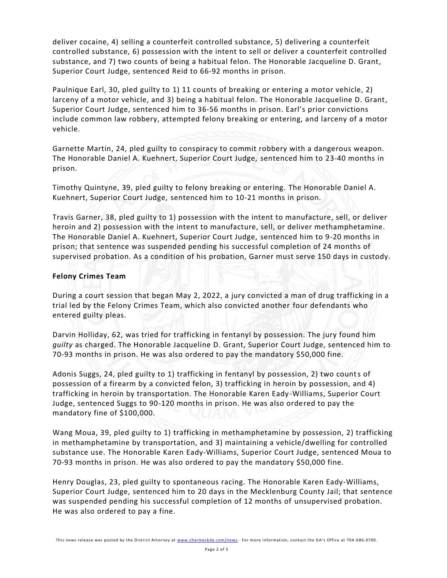deliver cocaine, 4) selling a counterfeit controlled substance, 5) delivering a counterfeit controlled substance, 6) possession with the intent to sell or deliver a counterfeit controlled substance, and 7) two counts of being a habitual felon. The Honorable Jacqueline D. Grant, Superior Court Judge, sentenced Reid to 66-92 months in prison.

Paulnique Earl, 30, pled guilty to 1) 11 counts of breaking or entering a motor vehicle, 2) larceny of a motor vehicle, and 3) being a habitual felon. The Honorable Jacqueline D. Grant, Superior Court Judge, sentenced him to 36-56 months in prison. Earl's prior convictions include common law robbery, attempted felony breaking or entering, and larceny of a motor vehicle.

Garnette Martin, 24, pled guilty to conspiracy to commit robbery with a dangerous weapon. The Honorable Daniel A. Kuehnert, Superior Court Judge, sentenced him to 23-40 months in prison.

Timothy Quintyne, 39, pled guilty to felony breaking or entering. The Honorable Daniel A. Kuehnert, Superior Court Judge, sentenced him to 10-21 months in prison.

Travis Garner, 38, pled guilty to 1) possession with the intent to manufacture, sell, or deliver heroin and 2) possession with the intent to manufacture, sell, or deliver methamphetamine. The Honorable Daniel A. Kuehnert, Superior Court Judge, sentenced him to 9-20 months in prison; that sentence was suspended pending his successful completion of 24 months of supervised probation. As a condition of his probation, Garner must serve 150 days in custody.

#### **Felony Crimes Team**

During a court session that began May 2, 2022, a jury convicted a man of drug trafficking in a trial led by the Felony Crimes Team, which also convicted another four defendants who entered guilty pleas.

Darvin Holliday, 62, was tried for trafficking in fentanyl by possession. The jury found him *guilty* as charged. The Honorable Jacqueline D. Grant, Superior Court Judge, sentenced him to 70-93 months in prison. He was also ordered to pay the mandatory \$50,000 fine.

Adonis Suggs, 24, pled guilty to 1) trafficking in fentanyl by possession, 2) two counts of possession of a firearm by a convicted felon, 3) trafficking in heroin by possession, and 4) trafficking in heroin by transportation. The Honorable Karen Eady -Williams, Superior Court Judge, sentenced Suggs to 90-120 months in prison. He was also ordered to pay the mandatory fine of \$100,000.

Wang Moua, 39, pled guilty to 1) trafficking in methamphetamine by possession, 2) trafficking in methamphetamine by transportation, and 3) maintaining a vehicle/dwelling for controlled substance use. The Honorable Karen Eady-Williams, Superior Court Judge, sentenced Moua to 70-93 months in prison. He was also ordered to pay the mandatory \$50,000 fine.

Henry Douglas, 23, pled guilty to spontaneous racing. The Honorable Karen Eady-Williams, Superior Court Judge, sentenced him to 20 days in the Mecklenburg County Jail; that sentence was suspended pending his successful completion of 12 months of unsupervised probation. He was also ordered to pay a fine.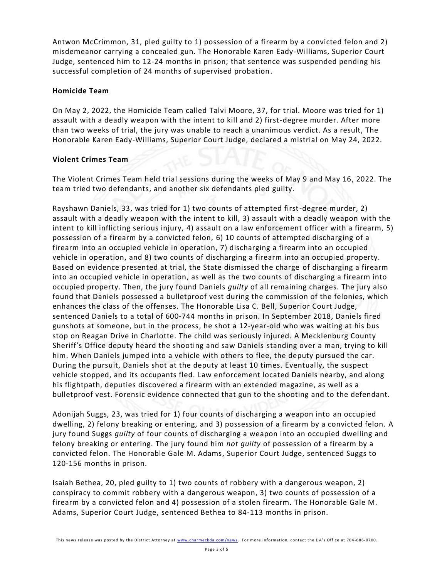Antwon McCrimmon, 31, pled guilty to 1) possession of a firearm by a convicted felon and 2) misdemeanor carrying a concealed gun. The Honorable Karen Eady-Williams, Superior Court Judge, sentenced him to 12-24 months in prison; that sentence was suspended pending his successful completion of 24 months of supervised probation.

#### **Homicide Team**

On May 2, 2022, the Homicide Team called Talvi Moore, 37, for trial. Moore was tried for 1) assault with a deadly weapon with the intent to kill and 2) first-degree murder. After more than two weeks of trial, the jury was unable to reach a unanimous verdict. As a result, The Honorable Karen Eady-Williams, Superior Court Judge, declared a mistrial on May 24, 2022.

#### **Violent Crimes Team**

The Violent Crimes Team held trial sessions during the weeks of May 9 and May 16, 2022. The team tried two defendants, and another six defendants pled guilty.

Rayshawn Daniels, 33, was tried for 1) two counts of attempted first-degree murder, 2) assault with a deadly weapon with the intent to kill, 3) assault with a deadly weapon with the intent to kill inflicting serious injury, 4) assault on a law enforcement officer with a firearm, 5) possession of a firearm by a convicted felon, 6) 10 counts of attempted discharging of a firearm into an occupied vehicle in operation, 7) discharging a firearm into an occupied vehicle in operation, and 8) two counts of discharging a firearm into an occupied property. Based on evidence presented at trial, the State dismissed the charge of discharging a firearm into an occupied vehicle in operation, as well as the two counts of discharging a firearm into occupied property. Then, the jury found Daniels *guilty* of all remaining charges. The jury also found that Daniels possessed a bulletproof vest during the commission of the felonies, which enhances the class of the offenses. The Honorable Lisa C. Bell, Superior Court Judge, sentenced Daniels to a total of 600-744 months in prison. In September 2018, Daniels fired gunshots at someone, but in the process, he shot a 12-year-old who was waiting at his bus stop on Reagan Drive in Charlotte. The child was seriously injured. A Mecklenburg County Sheriff's Office deputy heard the shooting and saw Daniels standing over a man, trying to kill him. When Daniels jumped into a vehicle with others to flee, the deputy pursued the car. During the pursuit, Daniels shot at the deputy at least 10 times. Eventually, the suspect vehicle stopped, and its occupants fled. Law enforcement located Daniels nearby, and along his flightpath, deputies discovered a firearm with an extended magazine, as well as a bulletproof vest. Forensic evidence connected that gun to the shooting and to the defendant.

Adonijah Suggs, 23, was tried for 1) four counts of discharging a weapon into an occupied dwelling, 2) felony breaking or entering, and 3) possession of a firearm by a convicted felon. A jury found Suggs *guilty* of four counts of discharging a weapon into an occupied dwelling and felony breaking or entering. The jury found him *not guilty* of possession of a firearm by a convicted felon. The Honorable Gale M. Adams, Superior Court Judge, sentenced Suggs to 120-156 months in prison.

Isaiah Bethea, 20, pled guilty to 1) two counts of robbery with a dangerous weapon, 2) conspiracy to commit robbery with a dangerous weapon, 3) two counts of possession of a firearm by a convicted felon and 4) possession of a stolen firearm. The Honorable Gale M. Adams, Superior Court Judge, sentenced Bethea to 84-113 months in prison.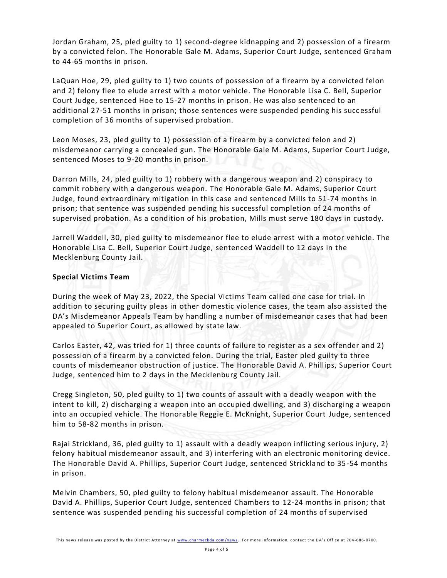Jordan Graham, 25, pled guilty to 1) second-degree kidnapping and 2) possession of a firearm by a convicted felon. The Honorable Gale M. Adams, Superior Court Judge, sentenced Graham to 44-65 months in prison.

LaQuan Hoe, 29, pled guilty to 1) two counts of possession of a firearm by a convicted felon and 2) felony flee to elude arrest with a motor vehicle. The Honorable Lisa C. Bell, Superior Court Judge, sentenced Hoe to 15-27 months in prison. He was also sentenced to an additional 27-51 months in prison; those sentences were suspended pending his succ essful completion of 36 months of supervised probation.

Leon Moses, 23, pled guilty to 1) possession of a firearm by a convicted felon and 2) misdemeanor carrying a concealed gun. The Honorable Gale M. Adams, Superior Court Judge, sentenced Moses to 9-20 months in prison.

Darron Mills, 24, pled guilty to 1) robbery with a dangerous weapon and 2) conspiracy to commit robbery with a dangerous weapon. The Honorable Gale M. Adams, Superior Court Judge, found extraordinary mitigation in this case and sentenced Mills to 51-74 months in prison; that sentence was suspended pending his successful completion of 24 months of supervised probation. As a condition of his probation, Mills must serve 180 days in custody.

Jarrell Waddell, 30, pled guilty to misdemeanor flee to elude arrest with a motor vehicle. The Honorable Lisa C. Bell, Superior Court Judge, sentenced Waddell to 12 days in the Mecklenburg County Jail.

## **Special Victims Team**

During the week of May 23, 2022, the Special Victims Team called one case for trial. In addition to securing guilty pleas in other domestic violence cases, the team also assisted the DA's Misdemeanor Appeals Team by handling a number of misdemeanor cases that had been appealed to Superior Court, as allowed by state law.

Carlos Easter, 42, was tried for 1) three counts of failure to register as a sex offender and 2) possession of a firearm by a convicted felon. During the trial, Easter pled guilty to three counts of misdemeanor obstruction of justice. The Honorable David A. Phillips, Superior Court Judge, sentenced him to 2 days in the Mecklenburg County Jail.

Cregg Singleton, 50, pled guilty to 1) two counts of assault with a deadly weapon with the intent to kill, 2) discharging a weapon into an occupied dwelling, and 3) discharging a weapon into an occupied vehicle. The Honorable Reggie E. McKnight, Superior Court Judge, sentenced him to 58-82 months in prison.

Rajai Strickland, 36, pled guilty to 1) assault with a deadly weapon inflicting serious injury, 2) felony habitual misdemeanor assault, and 3) interfering with an electronic monitoring device. The Honorable David A. Phillips, Superior Court Judge, sentenced Strickland to 35-54 months in prison.

Melvin Chambers, 50, pled guilty to felony habitual misdemeanor assault. The Honorable David A. Phillips, Superior Court Judge, sentenced Chambers to 12-24 months in prison; that sentence was suspended pending his successful completion of 24 months of supervised